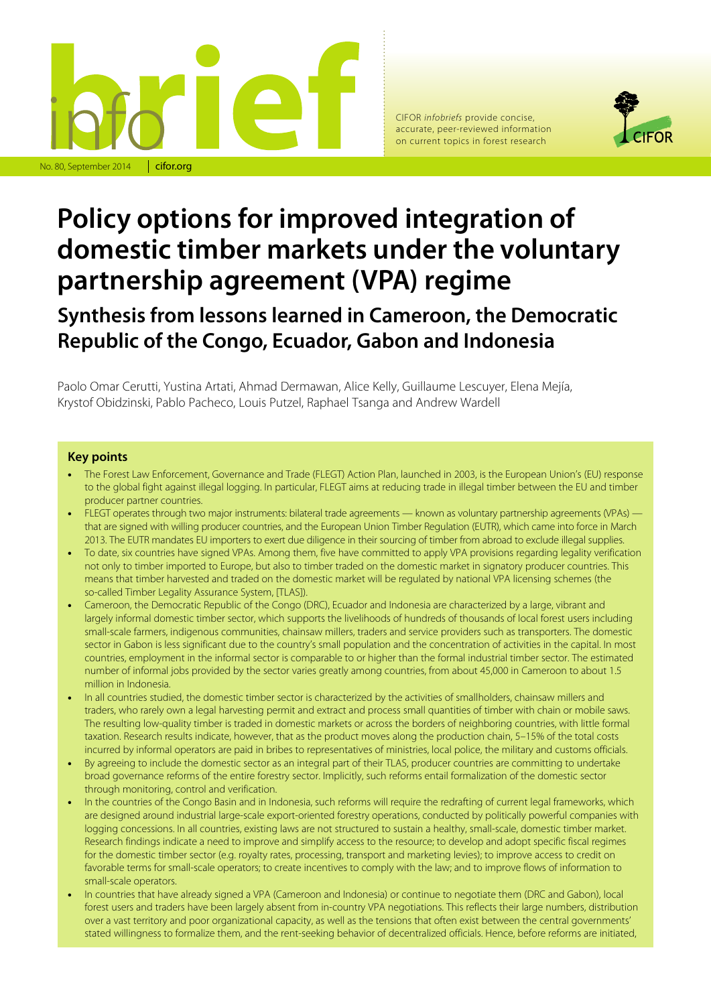

CIFOR *infobriefs* provide concise, accurate, peer-reviewed information on current topics in forest research



# **Policy options for improved integration of domestic timber markets under the voluntary partnership agreement (VPA) regime**

**Synthesis from lessons learned in Cameroon, the Democratic Republic of the Congo, Ecuador, Gabon and Indonesia** 

Paolo Omar Cerutti, Yustina Artati, Ahmad Dermawan, Alice Kelly, Guillaume Lescuyer, Elena Mejía, Krystof Obidzinski, Pablo Pacheco, Louis Putzel, Raphael Tsanga and Andrew Wardell

#### **Key points**

- The Forest Law Enforcement, Governance and Trade (FLEGT) Action Plan, launched in 2003, is the European Union's (EU) response to the global fight against illegal logging. In particular, FLEGT aims at reducing trade in illegal timber between the EU and timber producer partner countries.
- FLEGT operates through two major instruments: bilateral trade agreements known as voluntary partnership agreements (VPAs) that are signed with willing producer countries, and the European Union Timber Regulation (EUTR), which came into force in March 2013. The EUTR mandates EU importers to exert due diligence in their sourcing of timber from abroad to exclude illegal supplies.
- To date, six countries have signed VPAs. Among them, five have committed to apply VPA provisions regarding legality verification not only to timber imported to Europe, but also to timber traded on the domestic market in signatory producer countries. This means that timber harvested and traded on the domestic market will be regulated by national VPA licensing schemes (the so-called Timber Legality Assurance System, [TLAS]).
- Cameroon, the Democratic Republic of the Congo (DRC), Ecuador and Indonesia are characterized by a large, vibrant and largely informal domestic timber sector, which supports the livelihoods of hundreds of thousands of local forest users including small-scale farmers, indigenous communities, chainsaw millers, traders and service providers such as transporters. The domestic sector in Gabon is less significant due to the country's small population and the concentration of activities in the capital. In most countries, employment in the informal sector is comparable to or higher than the formal industrial timber sector. The estimated number of informal jobs provided by the sector varies greatly among countries, from about 45,000 in Cameroon to about 1.5 million in Indonesia.
- In all countries studied, the domestic timber sector is characterized by the activities of smallholders, chainsaw millers and traders, who rarely own a legal harvesting permit and extract and process small quantities of timber with chain or mobile saws. The resulting low-quality timber is traded in domestic markets or across the borders of neighboring countries, with little formal taxation. Research results indicate, however, that as the product moves along the production chain, 5–15% of the total costs incurred by informal operators are paid in bribes to representatives of ministries, local police, the military and customs officials.
- By agreeing to include the domestic sector as an integral part of their TLAS, producer countries are committing to undertake broad governance reforms of the entire forestry sector. Implicitly, such reforms entail formalization of the domestic sector through monitoring, control and verification.
- In the countries of the Congo Basin and in Indonesia, such reforms will require the redrafting of current legal frameworks, which are designed around industrial large-scale export-oriented forestry operations, conducted by politically powerful companies with logging concessions. In all countries, existing laws are not structured to sustain a healthy, small-scale, domestic timber market. Research findings indicate a need to improve and simplify access to the resource; to develop and adopt specific fiscal regimes for the domestic timber sector (e.g. royalty rates, processing, transport and marketing levies); to improve access to credit on favorable terms for small-scale operators; to create incentives to comply with the law; and to improve flows of information to small-scale operators.
- In countries that have already signed a VPA (Cameroon and Indonesia) or continue to negotiate them (DRC and Gabon), local forest users and traders have been largely absent from in-country VPA negotiations. This reflects their large numbers, distribution over a vast territory and poor organizational capacity, as well as the tensions that often exist between the central governments' stated willingness to formalize them, and the rent-seeking behavior of decentralized officials. Hence, before reforms are initiated,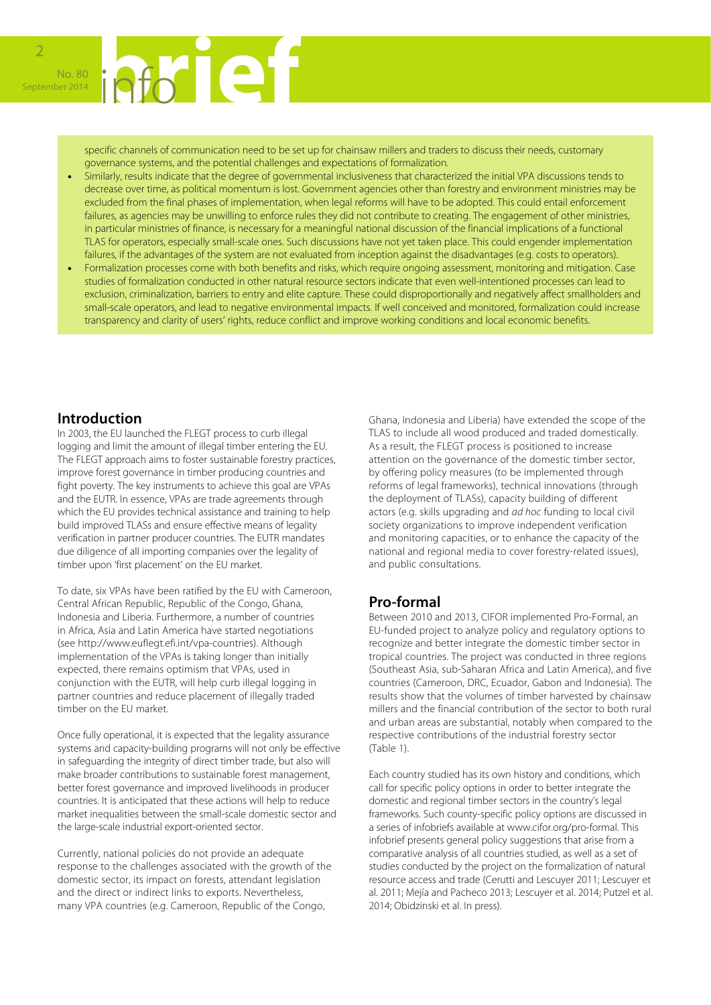

specific channels of communication need to be set up for chainsaw millers and traders to discuss their needs, customary governance systems, and the potential challenges and expectations of formalization.

- Similarly, results indicate that the degree of governmental inclusiveness that characterized the initial VPA discussions tends to decrease over time, as political momentum is lost. Government agencies other than forestry and environment ministries may be excluded from the final phases of implementation, when legal reforms will have to be adopted. This could entail enforcement failures, as agencies may be unwilling to enforce rules they did not contribute to creating. The engagement of other ministries, in particular ministries of finance, is necessary for a meaningful national discussion of the financial implications of a functional TLAS for operators, especially small-scale ones. Such discussions have not yet taken place. This could engender implementation failures, if the advantages of the system are not evaluated from inception against the disadvantages (e.g. costs to operators).
- Formalization processes come with both benefits and risks, which require ongoing assessment, monitoring and mitigation. Case studies of formalization conducted in other natural resource sectors indicate that even well-intentioned processes can lead to exclusion, criminalization, barriers to entry and elite capture. These could disproportionally and negatively affect smallholders and small-scale operators, and lead to negative environmental impacts. If well conceived and monitored, formalization could increase transparency and clarity of users' rights, reduce conflict and improve working conditions and local economic benefits.

#### **Introduction**

In 2003, the EU launched the FLEGT process to curb illegal logging and limit the amount of illegal timber entering the EU. The FLEGT approach aims to foster sustainable forestry practices, improve forest governance in timber producing countries and fight poverty. The key instruments to achieve this goal are VPAs and the EUTR. In essence, VPAs are trade agreements through which the EU provides technical assistance and training to help build improved TLASs and ensure effective means of legality verification in partner producer countries. The EUTR mandates due diligence of all importing companies over the legality of timber upon 'first placement' on the EU market.

To date, six VPAs have been ratified by the EU with Cameroon, Central African Republic, Republic of the Congo, Ghana, Indonesia and Liberia. Furthermore, a number of countries in Africa, Asia and Latin America have started negotiations (see http://www.euflegt.efi.int/vpa-countries). Although implementation of the VPAs is taking longer than initially expected, there remains optimism that VPAs, used in conjunction with the EUTR, will help curb illegal logging in partner countries and reduce placement of illegally traded timber on the EU market.

Once fully operational, it is expected that the legality assurance systems and capacity-building programs will not only be effective in safeguarding the integrity of direct timber trade, but also will make broader contributions to sustainable forest management, better forest governance and improved livelihoods in producer countries. It is anticipated that these actions will help to reduce market inequalities between the small-scale domestic sector and the large-scale industrial export-oriented sector.

Currently, national policies do not provide an adequate response to the challenges associated with the growth of the domestic sector, its impact on forests, attendant legislation and the direct or indirect links to exports. Nevertheless, many VPA countries (e.g. Cameroon, Republic of the Congo,

Ghana, Indonesia and Liberia) have extended the scope of the TLAS to include all wood produced and traded domestically. As a result, the FLEGT process is positioned to increase attention on the governance of the domestic timber sector, by offering policy measures (to be implemented through reforms of legal frameworks), technical innovations (through the deployment of TLASs), capacity building of different actors (e.g. skills upgrading and *ad hoc* funding to local civil society organizations to improve independent verification and monitoring capacities, or to enhance the capacity of the national and regional media to cover forestry-related issues), and public consultations.

### **Pro-formal**

Between 2010 and 2013, CIFOR implemented Pro-Formal, an EU-funded project to analyze policy and regulatory options to recognize and better integrate the domestic timber sector in tropical countries. The project was conducted in three regions (Southeast Asia, sub-Saharan Africa and Latin America), and five countries (Cameroon, DRC, Ecuador, Gabon and Indonesia). The results show that the volumes of timber harvested by chainsaw millers and the financial contribution of the sector to both rural and urban areas are substantial, notably when compared to the respective contributions of the industrial forestry sector (Table 1).

Each country studied has its own history and conditions, which call for specific policy options in order to better integrate the domestic and regional timber sectors in the country's legal frameworks. Such county-specific policy options are discussed in a series of infobriefs available at www.cifor.org/pro-formal. This infobrief presents general policy suggestions that arise from a comparative analysis of all countries studied, as well as a set of studies conducted by the project on the formalization of natural resource access and trade (Cerutti and Lescuyer 2011; Lescuyer et al. 2011; Mejía and Pacheco 2013; Lescuyer et al. 2014; Putzel et al. 2014; Obidzinski et al. In press).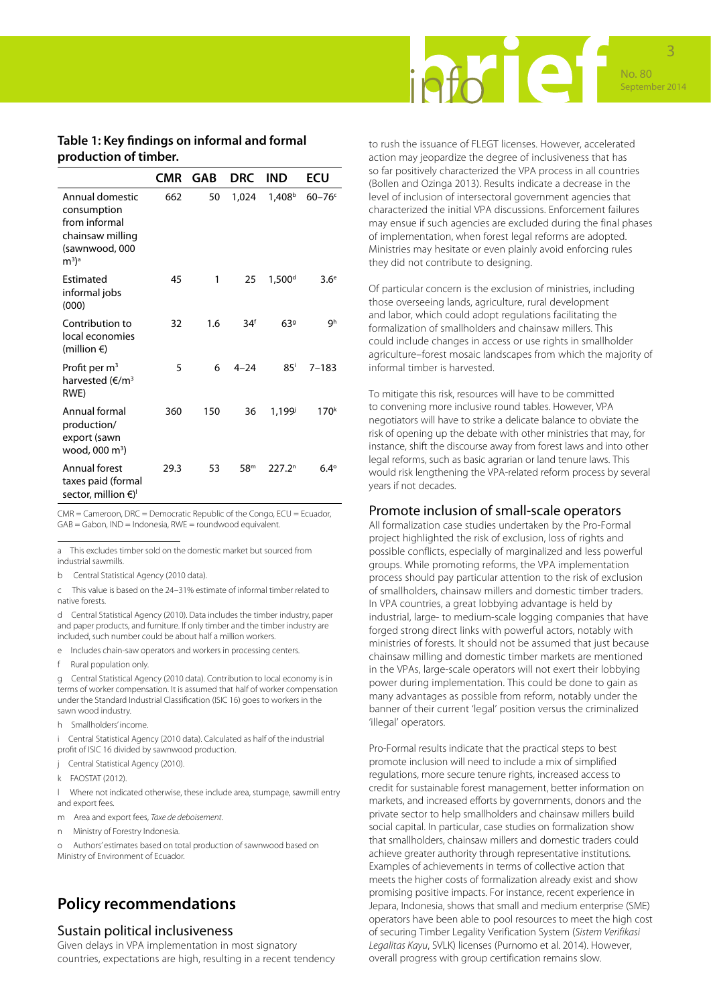

#### **Table 1: Key findings on informal and formal production of timber.**

|                                                                                                    | <b>CMR</b> | GAB | <b>DRC</b>      | <b>IND</b>           | ECU              |
|----------------------------------------------------------------------------------------------------|------------|-----|-----------------|----------------------|------------------|
| Annual domestic<br>consumption<br>from informal<br>chainsaw milling<br>(sawnwood, 000<br>$(m^3)^a$ | 662        | 50  | 1,024           | $1,408^{\mathrm{b}}$ | $60-76$          |
| Estimated<br>informal jobs<br>(000)                                                                | 45         | 1   | 25              | 1,500 <sup>d</sup>   | 3.6 <sup>e</sup> |
| Contribution to<br>local economies<br>(million $\epsilon$ )                                        | 32         | 1.6 | 34 <sup>f</sup> | 639                  | gh               |
| Profit per $m3$<br>harvested (€/m <sup>3</sup><br>RWE)                                             | 5          | 6   | $4 - 24$        | 85 <sup>i</sup>      | $7 - 183$        |
| Annual formal<br>production/<br>export (sawn<br>wood, 000 m <sup>3</sup> )                         | 360        | 150 | 36              | 1.199i               | 170 <sup>k</sup> |
| Annual forest<br>taxes paid (formal<br>sector, million €) <sup>1</sup>                             | 29.3       | 53  | 58 <sup>m</sup> | 227.2 <sup>n</sup>   | $6.4^\circ$      |

CMR = Cameroon, DRC = Democratic Republic of the Congo, ECU = Ecuador, GAB = Gabon, IND = Indonesia, RWE = roundwood equivalent.

a This excludes timber sold on the domestic market but sourced from industrial sawmills.

b Central Statistical Agency (2010 data).

c This value is based on the 24–31% estimate of informal timber related to native forests.

d Central Statistical Agency (2010). Data includes the timber industry, paper and paper products, and furniture. If only timber and the timber industry are included, such number could be about half a million workers.

- e Includes chain-saw operators and workers in processing centers.
- f Rural population only.

g Central Statistical Agency (2010 data). Contribution to local economy is in terms of worker compensation. It is assumed that half of worker compensation under the Standard Industrial Classification (ISIC 16) goes to workers in the sawn wood industry.

h Smallholders' income.

i Central Statistical Agency (2010 data). Calculated as half of the industrial profit of ISIC 16 divided by sawnwood production.

- j Central Statistical Agency (2010).
- k FAOSTAT (2012).

l Where not indicated otherwise, these include area, stumpage, sawmill entry and export fees.

- m Area and export fees, *Taxe de deboisement*.
- n Ministry of Forestry Indonesia.

o Authors' estimates based on total production of sawnwood based on Ministry of Environment of Ecuador.

# **Policy recommendations**

#### Sustain political inclusiveness

Given delays in VPA implementation in most signatory countries, expectations are high, resulting in a recent tendency to rush the issuance of FLEGT licenses. However, accelerated action may jeopardize the degree of inclusiveness that has so far positively characterized the VPA process in all countries (Bollen and Ozinga 2013). Results indicate a decrease in the level of inclusion of intersectoral government agencies that characterized the initial VPA discussions. Enforcement failures may ensue if such agencies are excluded during the final phases of implementation, when forest legal reforms are adopted. Ministries may hesitate or even plainly avoid enforcing rules they did not contribute to designing.

Of particular concern is the exclusion of ministries, including those overseeing lands, agriculture, rural development and labor, which could adopt regulations facilitating the formalization of smallholders and chainsaw millers. This could include changes in access or use rights in smallholder agriculture–forest mosaic landscapes from which the majority of informal timber is harvested.

To mitigate this risk, resources will have to be committed to convening more inclusive round tables. However, VPA negotiators will have to strike a delicate balance to obviate the risk of opening up the debate with other ministries that may, for instance, shift the discourse away from forest laws and into other legal reforms, such as basic agrarian or land tenure laws. This would risk lengthening the VPA-related reform process by several years if not decades.

#### Promote inclusion of small-scale operators

All formalization case studies undertaken by the Pro-Formal project highlighted the risk of exclusion, loss of rights and possible conflicts, especially of marginalized and less powerful groups. While promoting reforms, the VPA implementation process should pay particular attention to the risk of exclusion of smallholders, chainsaw millers and domestic timber traders. In VPA countries, a great lobbying advantage is held by industrial, large- to medium-scale logging companies that have forged strong direct links with powerful actors, notably with ministries of forests. It should not be assumed that just because chainsaw milling and domestic timber markets are mentioned in the VPAs, large-scale operators will not exert their lobbying power during implementation. This could be done to gain as many advantages as possible from reform, notably under the banner of their current 'legal' position versus the criminalized 'illegal' operators.

Pro-Formal results indicate that the practical steps to best promote inclusion will need to include a mix of simplified regulations, more secure tenure rights, increased access to credit for sustainable forest management, better information on markets, and increased efforts by governments, donors and the private sector to help smallholders and chainsaw millers build social capital. In particular, case studies on formalization show that smallholders, chainsaw millers and domestic traders could achieve greater authority through representative institutions. Examples of achievements in terms of collective action that meets the higher costs of formalization already exist and show promising positive impacts. For instance, recent experience in Jepara, Indonesia, shows that small and medium enterprise (SME) operators have been able to pool resources to meet the high cost of securing Timber Legality Verification System (*Sistem Verifikasi Legalitas Kayu*, SVLK) licenses (Purnomo et al. 2014). However, overall progress with group certification remains slow.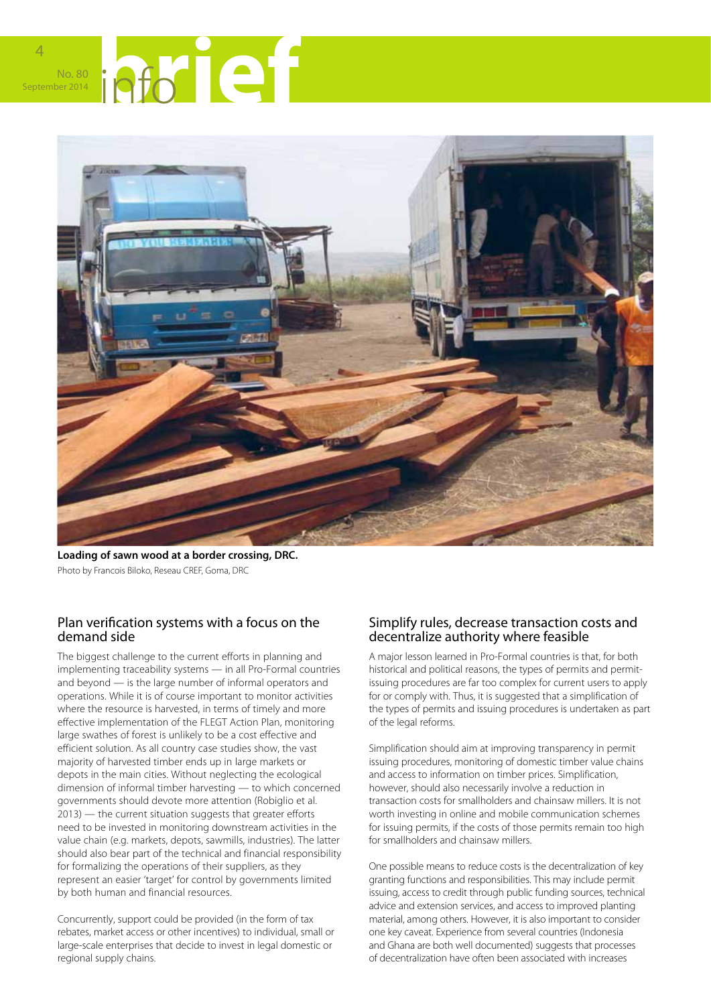

4



**Loading of sawn wood at a border crossing, DRC.**  Photo by Francois Biloko, Reseau CREF, Goma, DRC

### Plan verification systems with a focus on the demand side

The biggest challenge to the current efforts in planning and implementing traceability systems — in all Pro-Formal countries and beyond — is the large number of informal operators and operations. While it is of course important to monitor activities where the resource is harvested, in terms of timely and more effective implementation of the FLEGT Action Plan, monitoring large swathes of forest is unlikely to be a cost effective and efficient solution. As all country case studies show, the vast majority of harvested timber ends up in large markets or depots in the main cities. Without neglecting the ecological dimension of informal timber harvesting — to which concerned governments should devote more attention (Robiglio et al. 2013) — the current situation suggests that greater efforts need to be invested in monitoring downstream activities in the value chain (e.g. markets, depots, sawmills, industries). The latter should also bear part of the technical and financial responsibility for formalizing the operations of their suppliers, as they represent an easier 'target' for control by governments limited by both human and financial resources.

Concurrently, support could be provided (in the form of tax rebates, market access or other incentives) to individual, small or large-scale enterprises that decide to invest in legal domestic or regional supply chains.

#### Simplify rules, decrease transaction costs and decentralize authority where feasible

A major lesson learned in Pro-Formal countries is that, for both historical and political reasons, the types of permits and permitissuing procedures are far too complex for current users to apply for or comply with. Thus, it is suggested that a simplification of the types of permits and issuing procedures is undertaken as part of the legal reforms.

Simplification should aim at improving transparency in permit issuing procedures, monitoring of domestic timber value chains and access to information on timber prices. Simplification, however, should also necessarily involve a reduction in transaction costs for smallholders and chainsaw millers. It is not worth investing in online and mobile communication schemes for issuing permits, if the costs of those permits remain too high for smallholders and chainsaw millers.

One possible means to reduce costs is the decentralization of key granting functions and responsibilities. This may include permit issuing, access to credit through public funding sources, technical advice and extension services, and access to improved planting material, among others. However, it is also important to consider one key caveat. Experience from several countries (Indonesia and Ghana are both well documented) suggests that processes of decentralization have often been associated with increases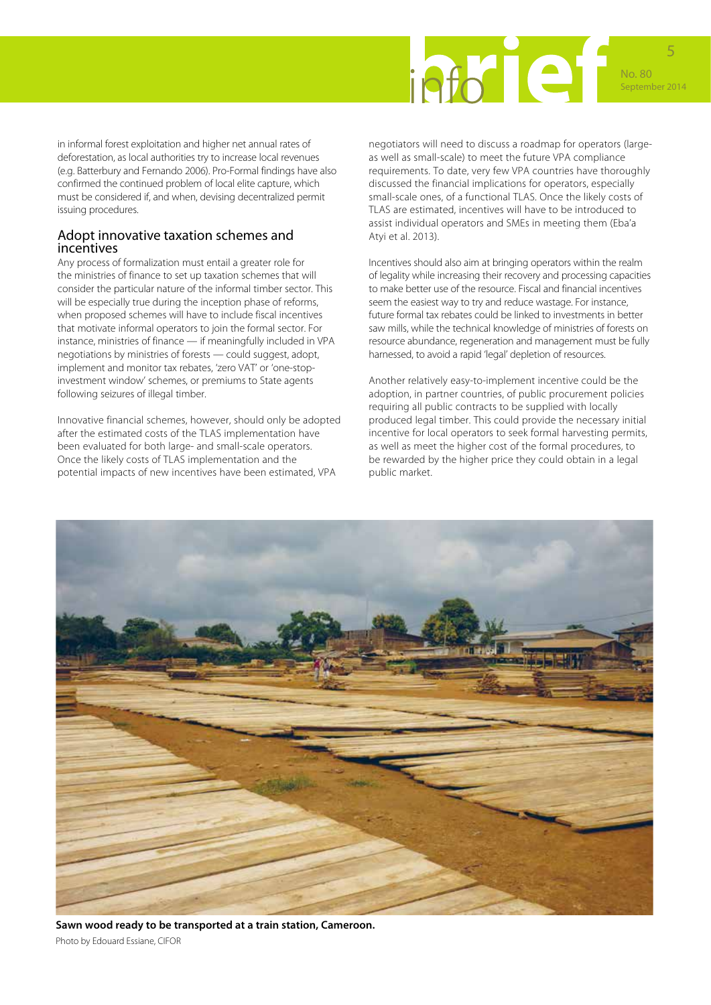

in informal forest exploitation and higher net annual rates of deforestation, as local authorities try to increase local revenues (e.g. Batterbury and Fernando 2006). Pro-Formal findings have also confirmed the continued problem of local elite capture, which must be considered if, and when, devising decentralized permit issuing procedures.

#### Adopt innovative taxation schemes and incentives

Any process of formalization must entail a greater role for the ministries of finance to set up taxation schemes that will consider the particular nature of the informal timber sector. This will be especially true during the inception phase of reforms, when proposed schemes will have to include fiscal incentives that motivate informal operators to join the formal sector. For instance, ministries of finance — if meaningfully included in VPA negotiations by ministries of forests — could suggest, adopt, implement and monitor tax rebates, 'zero VAT' or 'one-stopinvestment window' schemes, or premiums to State agents following seizures of illegal timber.

Innovative financial schemes, however, should only be adopted after the estimated costs of the TLAS implementation have been evaluated for both large- and small-scale operators. Once the likely costs of TLAS implementation and the potential impacts of new incentives have been estimated, VPA

negotiators will need to discuss a roadmap for operators (largeas well as small-scale) to meet the future VPA compliance requirements. To date, very few VPA countries have thoroughly discussed the financial implications for operators, especially small-scale ones, of a functional TLAS. Once the likely costs of TLAS are estimated, incentives will have to be introduced to assist individual operators and SMEs in meeting them (Eba'a Atyi et al. 2013).

Incentives should also aim at bringing operators within the realm of legality while increasing their recovery and processing capacities to make better use of the resource. Fiscal and financial incentives seem the easiest way to try and reduce wastage. For instance, future formal tax rebates could be linked to investments in better saw mills, while the technical knowledge of ministries of forests on resource abundance, regeneration and management must be fully harnessed, to avoid a rapid 'legal' depletion of resources.

Another relatively easy-to-implement incentive could be the adoption, in partner countries, of public procurement policies requiring all public contracts to be supplied with locally produced legal timber. This could provide the necessary initial incentive for local operators to seek formal harvesting permits, as well as meet the higher cost of the formal procedures, to be rewarded by the higher price they could obtain in a legal public market.



**Sawn wood ready to be transported at a train station, Cameroon.** Photo by Edouard Essiane, CIFOR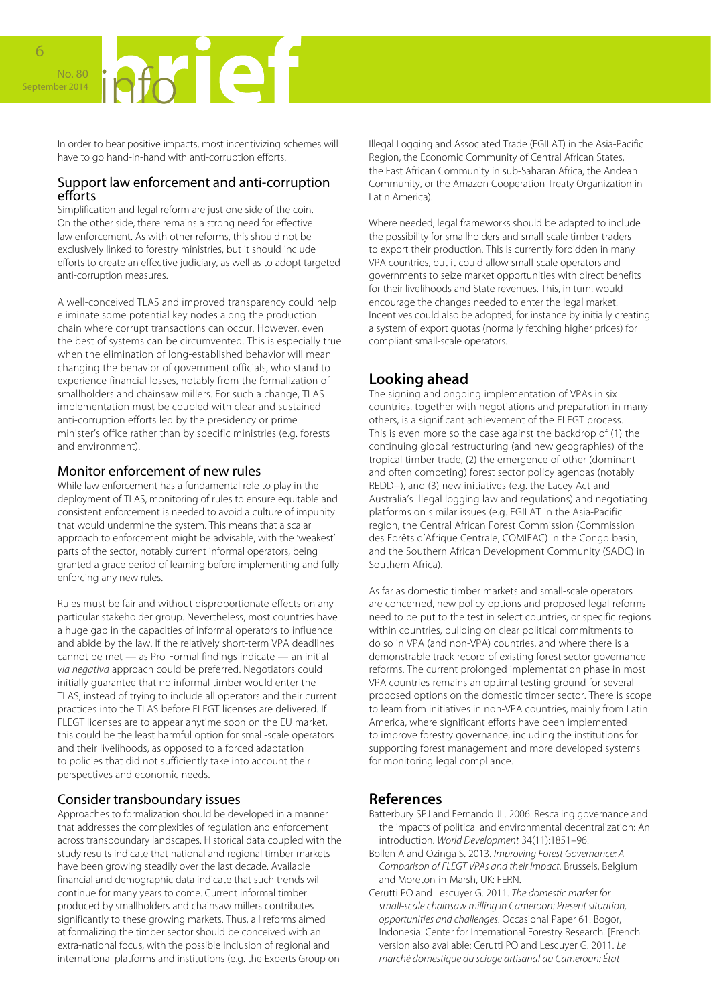No. 80 | **Of All Company** 

In order to bear positive impacts, most incentivizing schemes will have to go hand-in-hand with anti-corruption efforts.

#### Support law enforcement and anti-corruption efforts

Simplification and legal reform are just one side of the coin. On the other side, there remains a strong need for effective law enforcement. As with other reforms, this should not be exclusively linked to forestry ministries, but it should include efforts to create an effective judiciary, as well as to adopt targeted anti-corruption measures.

A well-conceived TLAS and improved transparency could help eliminate some potential key nodes along the production chain where corrupt transactions can occur. However, even the best of systems can be circumvented. This is especially true when the elimination of long-established behavior will mean changing the behavior of government officials, who stand to experience financial losses, notably from the formalization of smallholders and chainsaw millers. For such a change, TLAS implementation must be coupled with clear and sustained anti-corruption efforts led by the presidency or prime minister's office rather than by specific ministries (e.g. forests and environment).

### Monitor enforcement of new rules

While law enforcement has a fundamental role to play in the deployment of TLAS, monitoring of rules to ensure equitable and consistent enforcement is needed to avoid a culture of impunity that would undermine the system. This means that a scalar approach to enforcement might be advisable, with the 'weakest' parts of the sector, notably current informal operators, being granted a grace period of learning before implementing and fully enforcing any new rules.

Rules must be fair and without disproportionate effects on any particular stakeholder group. Nevertheless, most countries have a huge gap in the capacities of informal operators to influence and abide by the law. If the relatively short-term VPA deadlines cannot be met — as Pro-Formal findings indicate — an initial *via negativa* approach could be preferred. Negotiators could initially guarantee that no informal timber would enter the TLAS, instead of trying to include all operators and their current practices into the TLAS before FLEGT licenses are delivered. If FLEGT licenses are to appear anytime soon on the EU market, this could be the least harmful option for small-scale operators and their livelihoods, as opposed to a forced adaptation to policies that did not sufficiently take into account their perspectives and economic needs.

# Consider transboundary issues

Approaches to formalization should be developed in a manner that addresses the complexities of regulation and enforcement across transboundary landscapes. Historical data coupled with the study results indicate that national and regional timber markets have been growing steadily over the last decade. Available financial and demographic data indicate that such trends will continue for many years to come. Current informal timber produced by smallholders and chainsaw millers contributes significantly to these growing markets. Thus, all reforms aimed at formalizing the timber sector should be conceived with an extra-national focus, with the possible inclusion of regional and international platforms and institutions (e.g. the Experts Group on

Illegal Logging and Associated Trade (EGILAT) in the Asia-Pacific Region, the Economic Community of Central African States, the East African Community in sub-Saharan Africa, the Andean Community, or the Amazon Cooperation Treaty Organization in Latin America).

Where needed, legal frameworks should be adapted to include the possibility for smallholders and small-scale timber traders to export their production. This is currently forbidden in many VPA countries, but it could allow small-scale operators and governments to seize market opportunities with direct benefits for their livelihoods and State revenues. This, in turn, would encourage the changes needed to enter the legal market. Incentives could also be adopted, for instance by initially creating a system of export quotas (normally fetching higher prices) for compliant small-scale operators.

# **Looking ahead**

The signing and ongoing implementation of VPAs in six countries, together with negotiations and preparation in many others, is a significant achievement of the FLEGT process. This is even more so the case against the backdrop of (1) the continuing global restructuring (and new geographies) of the tropical timber trade, (2) the emergence of other (dominant and often competing) forest sector policy agendas (notably REDD+), and (3) new initiatives (e.g. the Lacey Act and Australia's illegal logging law and regulations) and negotiating platforms on similar issues (e.g. EGILAT in the Asia-Pacific region, the Central African Forest Commission (Commission des Forêts d'Afrique Centrale, COMIFAC) in the Congo basin, and the Southern African Development Community (SADC) in Southern Africa).

As far as domestic timber markets and small-scale operators are concerned, new policy options and proposed legal reforms need to be put to the test in select countries, or specific regions within countries, building on clear political commitments to do so in VPA (and non-VPA) countries, and where there is a demonstrable track record of existing forest sector governance reforms. The current prolonged implementation phase in most VPA countries remains an optimal testing ground for several proposed options on the domestic timber sector. There is scope to learn from initiatives in non-VPA countries, mainly from Latin America, where significant efforts have been implemented to improve forestry governance, including the institutions for supporting forest management and more developed systems for monitoring legal compliance.

# **References**

- Batterbury SPJ and Fernando JL. 2006. Rescaling governance and the impacts of political and environmental decentralization: An introduction. *World Development* 34(11):1851–96.
- Bollen A and Ozinga S. 2013. *Improving Forest Governance: A Comparison of FLEGT VPAs and their Impact*. Brussels, Belgium and Moreton-in-Marsh, UK: FERN.
- Cerutti PO and Lescuyer G. 2011. *The domestic market for small-scale chainsaw milling in Cameroon: Present situation, opportunities and challenges*. Occasional Paper 61. Bogor, Indonesia: Center for International Forestry Research. [French version also available: Cerutti PO and Lescuyer G. 2011. *Le marché domestique du sciage artisanal au Cameroun: État*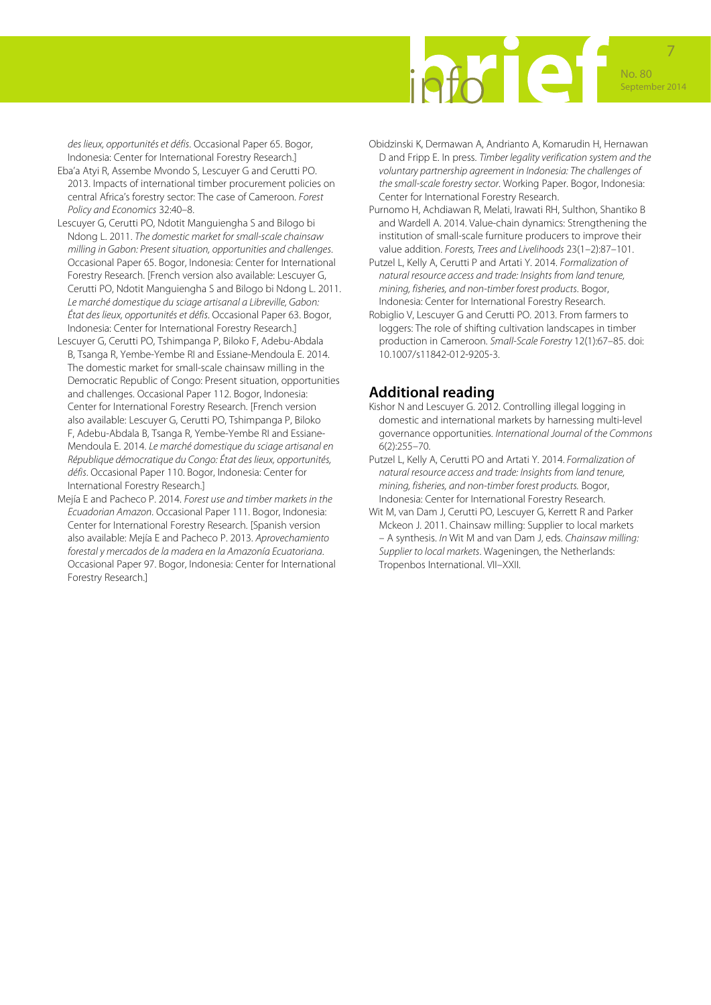

*des lieux, opportunités et défis*. Occasional Paper 65. Bogor, Indonesia: Center for International Forestry Research.]

- Eba'a Atyi R, Assembe Mvondo S, Lescuyer G and Cerutti PO. 2013. Impacts of international timber procurement policies on central Africa's forestry sector: The case of Cameroon. *Forest Policy and Economics* 32:40–8.
- Lescuyer G, Cerutti PO, Ndotit Manguiengha S and Bilogo bi Ndong L. 2011. *The domestic market for small-scale chainsaw milling in Gabon: Present situation, opportunities and challenges*. Occasional Paper 65. Bogor, Indonesia: Center for International Forestry Research. [French version also available: Lescuyer G, Cerutti PO, Ndotit Manguiengha S and Bilogo bi Ndong L. 2011. *Le marché domestique du sciage artisanal a Libreville, Gabon: État des lieux, opportunités et défis*. Occasional Paper 63. Bogor, Indonesia: Center for International Forestry Research.]
- Lescuyer G, Cerutti PO, Tshimpanga P, Biloko F, Adebu-Abdala B, Tsanga R, Yembe-Yembe RI and Essiane-Mendoula E. 2014. The domestic market for small-scale chainsaw milling in the Democratic Republic of Congo: Present situation, opportunities and challenges. Occasional Paper 112. Bogor, Indonesia: Center for International Forestry Research. [French version also available: Lescuyer G, Cerutti PO, Tshimpanga P, Biloko F, Adebu-Abdala B, Tsanga R, Yembe-Yembe RI and Essiane-Mendoula E. 2014. *Le marché domestique du sciage artisanal en République démocratique du Congo: État des lieux, opportunités, défis*. Occasional Paper 110. Bogor, Indonesia: Center for International Forestry Research.]
- Mejía E and Pacheco P. 2014. *Forest use and timber markets in the Ecuadorian Amazon*. Occasional Paper 111. Bogor, Indonesia: Center for International Forestry Research. [Spanish version also available: Mejía E and Pacheco P. 2013. *Aprovechamiento forestal y mercados de la madera en la Amazonía Ecuatoriana*. Occasional Paper 97. Bogor, Indonesia: Center for International Forestry Research.]
- Obidzinski K, Dermawan A, Andrianto A, Komarudin H, Hernawan D and Fripp E. In press. *Timber legality verification system and the voluntary partnership agreement in Indonesia: The challenges of the small-scale forestry sector*. Working Paper. Bogor, Indonesia: Center for International Forestry Research.
- Purnomo H, Achdiawan R, Melati, Irawati RH, Sulthon, Shantiko B and Wardell A. 2014. Value-chain dynamics: Strengthening the institution of small-scale furniture producers to improve their value addition. *Forests, Trees and Livelihoods* 23(1–2):87–101.
- Putzel L, Kelly A, Cerutti P and Artati Y. 2014. *Formalization of natural resource access and trade: Insights from land tenure, mining, fisheries, and non-timber forest products*. Bogor, Indonesia: Center for International Forestry Research.
- Robiglio V, Lescuyer G and Cerutti PO. 2013. From farmers to loggers: The role of shifting cultivation landscapes in timber production in Cameroon. *Small-Scale Forestry* 12(1):67–85. doi: 10.1007/s11842-012-9205-3.

# **Additional reading**

- Kishor N and Lescuyer G. 2012. Controlling illegal logging in domestic and international markets by harnessing multi-level governance opportunities. *International Journal of the Commons* 6(2):255–70.
- Putzel L, Kelly A, Cerutti PO and Artati Y. 2014. *Formalization of natural resource access and trade: Insights from land tenure, mining, fisheries, and non-timber forest products.* Bogor, Indonesia: Center for International Forestry Research.
- Wit M, van Dam J, Cerutti PO, Lescuyer G, Kerrett R and Parker Mckeon J. 2011. Chainsaw milling: Supplier to local markets – A synthesis. *In* Wit M and van Dam J, eds. *Chainsaw milling: Supplier to local markets*. Wageningen, the Netherlands: Tropenbos International. VII–XXII.